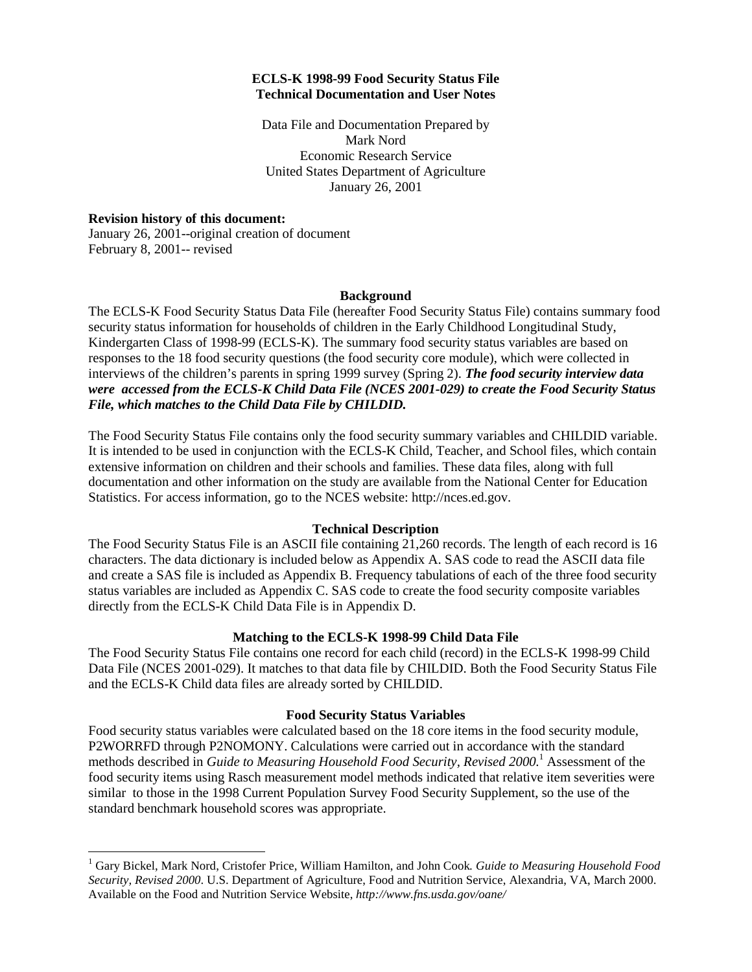## **ECLS-K 1998-99 Food Security Status File Technical Documentation and User Notes**

Data File and Documentation Prepared by Mark Nord Economic Research Service United States Department of Agriculture January 26, 2001

## **Revision history of this document:**

 $\overline{a}$ 

January 26, 2001--original creation of document February 8, 2001-- revised

#### **Background**

The ECLS-K Food Security Status Data File (hereafter Food Security Status File) contains summary food security status information for households of children in the Early Childhood Longitudinal Study, Kindergarten Class of 1998-99 (ECLS-K). The summary food security status variables are based on responses to the 18 food security questions (the food security core module), which were collected in interviews of the children's parents in spring 1999 survey (Spring 2). *The food security interview data were accessed from the ECLS-K Child Data File (NCES 2001-029) to create the Food Security Status File, which matches to the Child Data File by CHILDID.*

The Food Security Status File contains only the food security summary variables and CHILDID variable. It is intended to be used in conjunction with the ECLS-K Child, Teacher, and School files, which contain extensive information on children and their schools and families. These data files, along with full documentation and other information on the study are available from the National Center for Education Statistics. For access information, go to the NCES website: http://nces.ed.gov.

# **Technical Description**

The Food Security Status File is an ASCII file containing 21,260 records. The length of each record is 16 characters. The data dictionary is included below as Appendix A. SAS code to read the ASCII data file and create a SAS file is included as Appendix B. Frequency tabulations of each of the three food security status variables are included as Appendix C. SAS code to create the food security composite variables directly from the ECLS-K Child Data File is in Appendix D.

# **Matching to the ECLS-K 1998-99 Child Data File**

The Food Security Status File contains one record for each child (record) in the ECLS-K 1998-99 Child Data File (NCES 2001-029). It matches to that data file by CHILDID. Both the Food Security Status File and the ECLS-K Child data files are already sorted by CHILDID.

# **Food Security Status Variables**

Food security status variables were calculated based on the 18 core items in the food security module, P2WORRFD through P2NOMONY. Calculations were carried out in accordance with the standard methods described in *Guide to Measuring Household Food Security, Revised 2000.*<sup>1</sup> Assessment of the food security items using Rasch measurement model methods indicated that relative item severities were similar to those in the 1998 Current Population Survey Food Security Supplement, so the use of the standard benchmark household scores was appropriate.

<sup>1</sup> Gary Bickel, Mark Nord, Cristofer Price, William Hamilton, and John Cook*. Guide to Measuring Household Food Security, Revised 2000*. U.S. Department of Agriculture, Food and Nutrition Service, Alexandria, VA, March 2000. Available on the Food and Nutrition Service Website, *http://www.fns.usda.gov/oane/*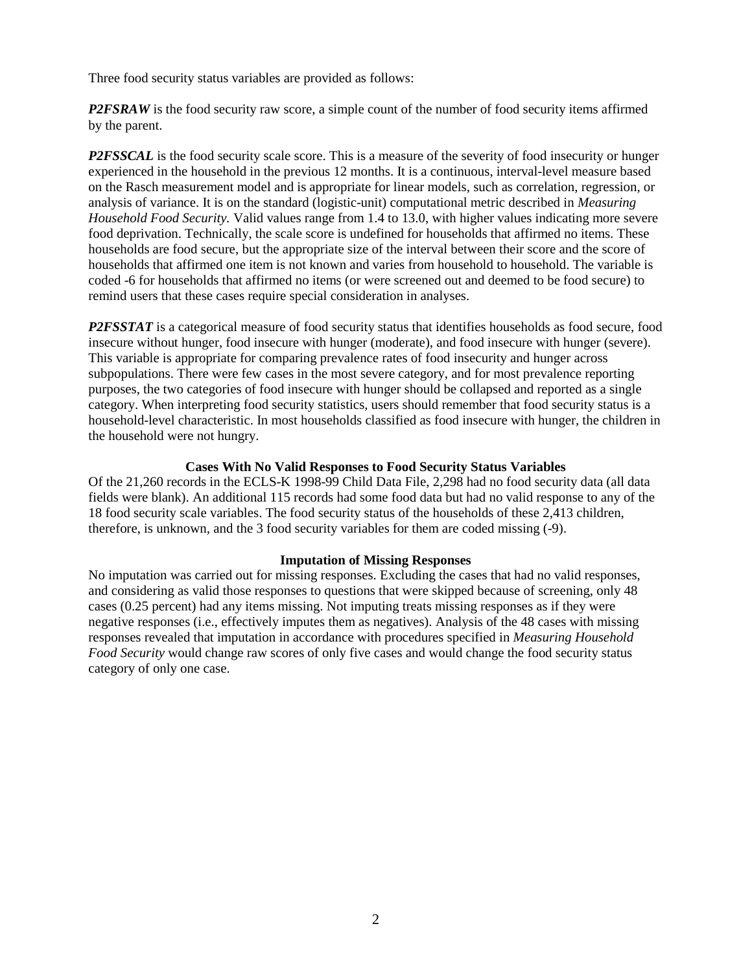Three food security status variables are provided as follows:

*P2FSRAW* is the food security raw score, a simple count of the number of food security items affirmed by the parent.

*P2FSSCAL* is the food security scale score. This is a measure of the severity of food insecurity or hunger experienced in the household in the previous 12 months. It is a continuous, interval-level measure based on the Rasch measurement model and is appropriate for linear models, such as correlation, regression, or analysis of variance. It is on the standard (logistic-unit) computational metric described in *Measuring Household Food Security.* Valid values range from 1.4 to 13.0, with higher values indicating more severe food deprivation. Technically, the scale score is undefined for households that affirmed no items. These households are food secure, but the appropriate size of the interval between their score and the score of households that affirmed one item is not known and varies from household to household. The variable is coded -6 for households that affirmed no items (or were screened out and deemed to be food secure) to remind users that these cases require special consideration in analyses.

*P2FSSTAT* is a categorical measure of food security status that identifies households as food secure, food insecure without hunger, food insecure with hunger (moderate), and food insecure with hunger (severe). This variable is appropriate for comparing prevalence rates of food insecurity and hunger across subpopulations. There were few cases in the most severe category, and for most prevalence reporting purposes, the two categories of food insecure with hunger should be collapsed and reported as a single category. When interpreting food security statistics, users should remember that food security status is a household-level characteristic. In most households classified as food insecure with hunger, the children in the household were not hungry.

#### **Cases With No Valid Responses to Food Security Status Variables**

Of the 21,260 records in the ECLS-K 1998-99 Child Data File, 2,298 had no food security data (all data fields were blank). An additional 115 records had some food data but had no valid response to any of the 18 food security scale variables. The food security status of the households of these 2,413 children, therefore, is unknown, and the 3 food security variables for them are coded missing (-9).

#### **Imputation of Missing Responses**

No imputation was carried out for missing responses. Excluding the cases that had no valid responses, and considering as valid those responses to questions that were skipped because of screening, only 48 cases (0.25 percent) had any items missing. Not imputing treats missing responses as if they were negative responses (i.e., effectively imputes them as negatives). Analysis of the 48 cases with missing responses revealed that imputation in accordance with procedures specified in *Measuring Household Food Security* would change raw scores of only five cases and would change the food security status category of only one case.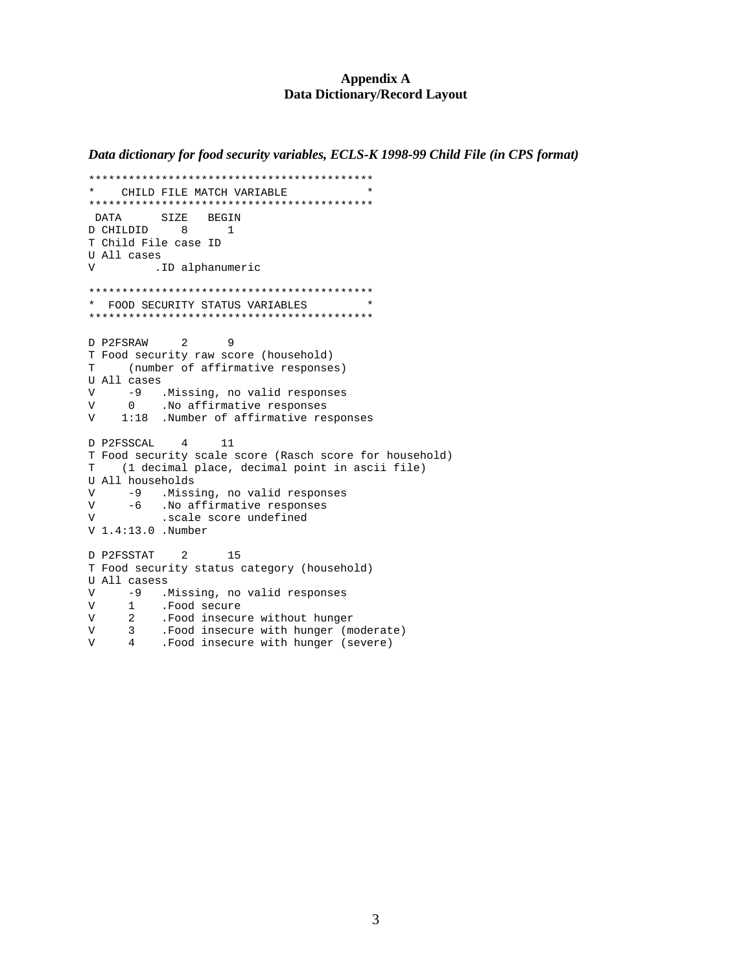#### **Appendix A Data Dictionary/Record Layout**

*Data dictionary for food security variables, ECLS-K 1998-99 Child File (in CPS format)*

```
*******************************************
    CHILD FILE MATCH VARIABLE
*******************************************
DATA SIZE BEGIN
D CHILDID 8 1
T Child File case ID
U All cases
V .ID alphanumeric
*******************************************
* FOOD SECURITY STATUS VARIABLES *
*******************************************
D P2FSRAW 2 9
T Food security raw score (household)
T (number of affirmative responses)
U All cases
V -9 .Missing, no valid responses<br>V 0 .No affirmative responses
V 0 .No affirmative responses<br>V 1:18 .Number of affirmative rea
   1:18 .Number of affirmative responses
D P2FSSCAL 4 11
T Food security scale score (Rasch score for household)
T (1 decimal place, decimal point in ascii file)
U All households
V -9 .Missing, no valid responses<br>V -6 .No affirmative responses
V -6 . No affirmative responses
V             .scale score undefined
V 1.4:13.0 .Number
D P2FSSTAT 2 15
T Food security status category (household)
U All casess
V -9 .Missing, no valid responses<br>V 1 .Food secure
      1 .Food secure
V 2 .Food insecure without hunger
V 3 .Food insecure with hunger (moderate)
```
V 4 .Food insecure with hunger (severe)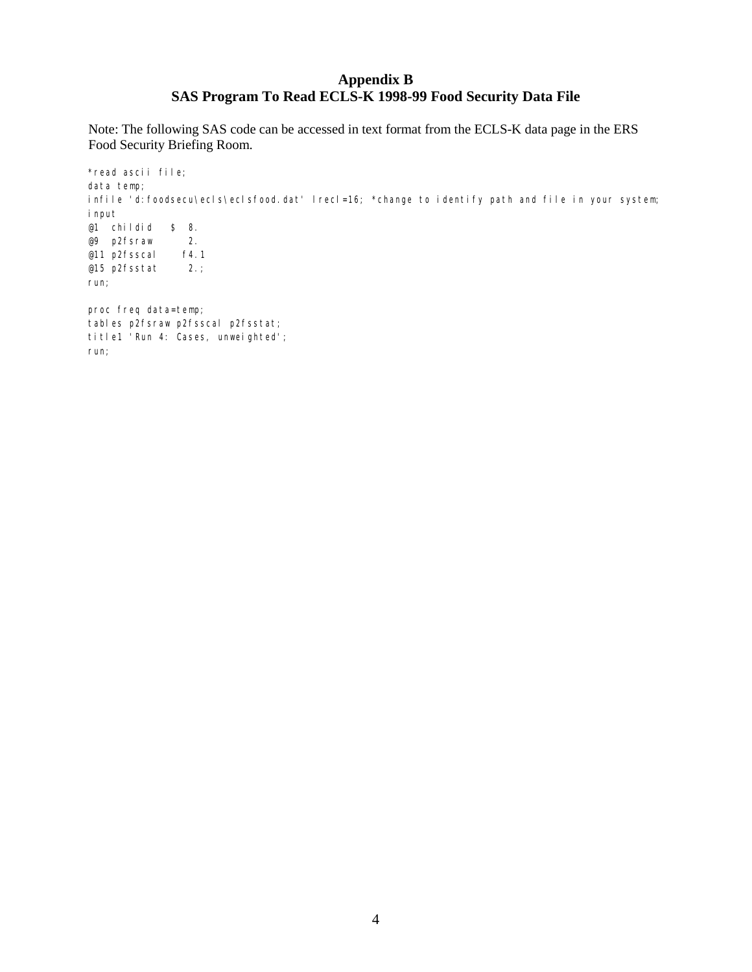# **Appendix B SAS Program To Read ECLS-K 1998-99 Food Security Data File**

Note: The following SAS code can be accessed in text format from the ECLS-K data page in the ERS Food Security Briefing Room.

\*read ascii file; data temp; infile 'd: foodsecu\ecls\eclsfood.dat' lrecl=16; \*change to identify path and file in your system; input  $@1$  childid \$ 8.<br> $@9$  p2fsraw 2. @9 p2fsraw 2.<br>@11 p2fsscal f4.1 @11 p2fsscal @15 p2fsstat 2.; run; proc freq data=temp; tables p2fsraw p2fsscal p2fsstat; title1 'Run 4: Cases, unweighted'; run;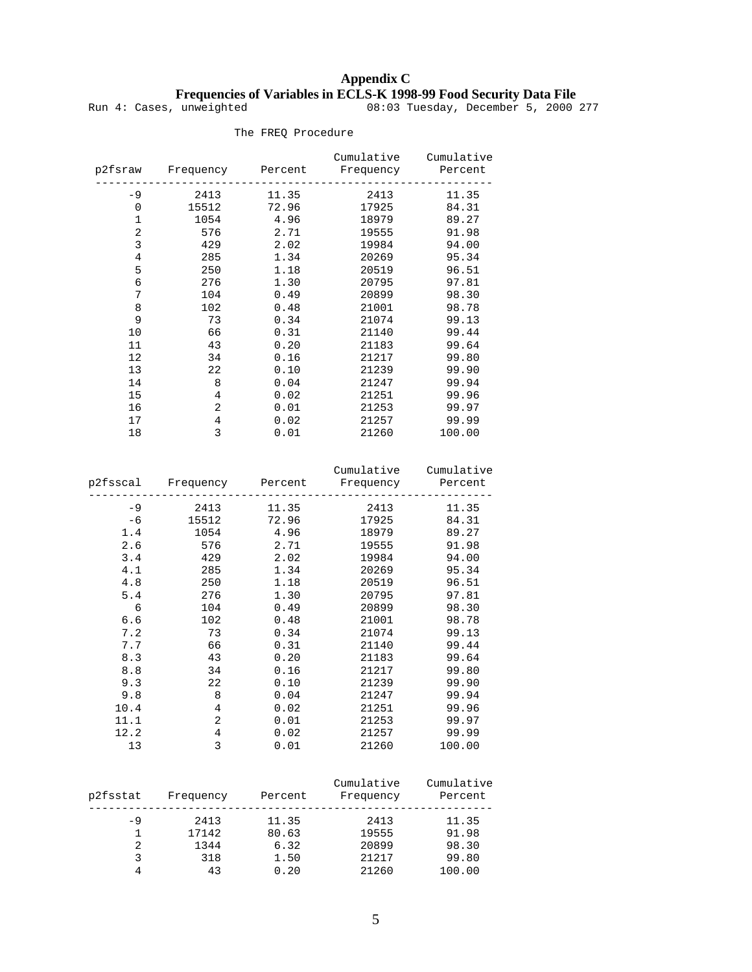# **Appendix C Frequencies of Variables in ECLS-K 1998-99 Food Security Data File**

Run 4: Cases, unweighted 08:03 Tuesday, December 5, 2000 277

| p2fsraw        | Frequency      | Percent | Cumulative<br>Frequency | Cumulative<br>Percent |
|----------------|----------------|---------|-------------------------|-----------------------|
| $-9$           | 2413           | 11.35   | 2413                    | 11.35                 |
| 0              | 15512          | 72.96   | 17925                   | 84.31                 |
| $\mathbf{1}$   | 1054           | 4.96    | 18979                   | 89.27                 |
| 2              | 576            | 2.71    | 19555                   | 91.98                 |
| 3              | 429            | 2.02    | 19984                   | 94.00                 |
| $\overline{4}$ | 285            | 1.34    | 20269                   | 95.34                 |
| 5              | 250            | 1.18    | 20519                   | 96.51                 |
| 6              | 276            | 1.30    | 20795                   | 97.81                 |
| 7              | 104            | 0.49    | 20899                   | 98.30                 |
| 8              | 102            | 0.48    | 21001                   | 98.78                 |
| 9              | 73             | 0.34    | 21074                   | 99.13                 |
| 10             | 66             | 0.31    | 21140                   | 99.44                 |
| 11             | 43             | 0.20    | 21183                   | 99.64                 |
| 12             | 34             | 0.16    | 21217                   | 99.80                 |
| 13             | 22             | 0.10    | 21239                   | 99.90                 |
| 14             | 8              | 0.04    | 21247                   | 99.94                 |
| 15             | 4              | 0.02    | 21251                   | 99.96                 |
| 16             | $\overline{2}$ | 0.01    | 21253                   | 99.97                 |
| 17             | 4              | 0.02    | 21257                   | 99.99                 |
| 18             | 3              | 0.01    | 21260                   | 100.00                |
|                |                |         |                         |                       |

The FREQ Procedure

|      |       |       | p2fsscal Frequency Percent Frequency Percent | Cumulative Cumulative |
|------|-------|-------|----------------------------------------------|-----------------------|
| -9   | 2413  | 11.35 | 2413                                         | 11.35                 |
| $-6$ | 15512 | 72.96 | 17925                                        | 84.31                 |
| 1.4  | 1054  | 4.96  | 18979                                        | 89.27                 |
| 2.6  | 576   | 2.71  | 19555                                        | 91.98                 |
| 3.4  | 429   | 2.02  | 19984                                        | 94.00                 |
| 4.1  | 285   | 1.34  | 20269                                        | 95.34                 |
| 4.8  | 250   | 1.18  | 20519                                        | 96.51                 |
| 5.4  | 276   | 1.30  | 20795                                        | 97.81                 |
| 6    | 104   | 0.49  | 20899                                        | 98.30                 |
| 6.6  | 102   | 0.48  | 21001                                        | 98.78                 |
| 7.2  | 73    | 0.34  | 21074                                        | 99.13                 |
| 7.7  | 66    | 0.31  | 21140                                        | 99.44                 |
| 8.3  | 43    | 0.20  | 21183                                        | 99.64                 |
| 8.8  | 34    | 0.16  | 21217                                        | 99.80                 |
| 9.3  | 22    | 0.10  | 21239                                        | 99.90                 |
| 9.8  | 8     | 0.04  | 21247                                        | 99.94                 |
| 10.4 | 4     | 0.02  | 21251                                        | 99.96                 |
| 11.1 | 2     | 0.01  | 21253                                        | 99.97                 |
| 12.2 | 4     | 0.02  | 21257                                        | 99.99                 |
| 13   | 3     | 0.01  | 21260                                        | 100.00                |

|          |           |         | Cumulative | Cumulative |
|----------|-----------|---------|------------|------------|
| p2fsstat | Frequency | Percent | Frequency  | Percent    |
|          |           |         |            |            |
| $-9$     | 2413      | 11.35   | 2413       | 11.35      |
|          | 17142     | 80.63   | 19555      | 91.98      |
| 2        | 1344      | 6.32    | 20899      | 98.30      |
|          | 318       | 1.50    | 21217      | 99.80      |
|          | 43        | 0.20    | 21260      | 100.00     |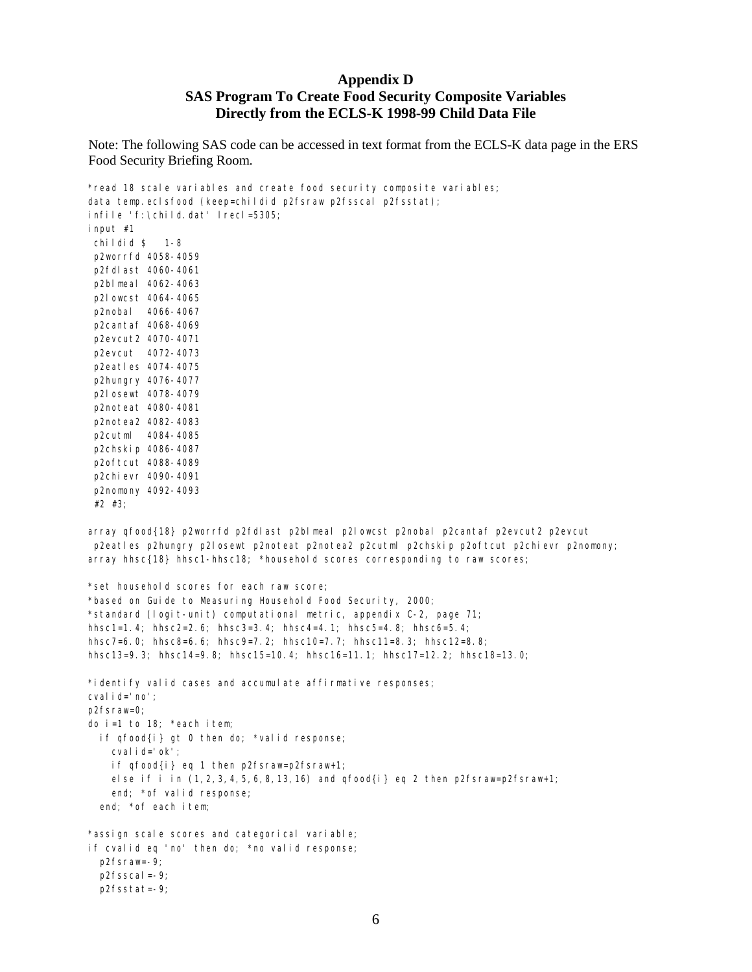# **Appendix D SAS Program To Create Food Security Composite Variables Directly from the ECLS-K 1998-99 Child Data File**

Note: The following SAS code can be accessed in text format from the ECLS-K data page in the ERS Food Security Briefing Room.

\*read 18 scale variables and create food security composite variables; data temp.eclsfood (keep=childid p2fsraw p2fsscal p2fsstat); infile 'f:\child.dat' lrecl=5305; input #1 childid \$ 1-8 p2worrfd 4058-4059 p2fdlast 4060-4061 p2blmeal 4062-4063 p2lowcst 4064-4065 p2nobal 4066-4067 p2cantaf 4068-4069 p2evcut2 4070-4071 p2evcut 4072-4073 p2eatles 4074-4075 p2hungry 4076-4077 p2losewt 4078-4079 p2noteat 4080-4081 p2notea2 4082-4083 p2cutml 4084-4085 p2chskip 4086-4087 p2oftcut 4088-4089 p2chievr 4090-4091 p2nomony 4092-4093 #2 #3; array qfood{18} p2worrfd p2fdlast p2blmeal p2lowcst p2nobal p2cantaf p2evcut2 p2evcut p2eatles p2hungry p2losewt p2noteat p2notea2 p2cutml p2chskip p2oftcut p2chievr p2nomony; array hhsc{18} hhsc1-hhsc18; \*household scores corresponding to raw scores; \*set household scores for each raw score; \*based on Guide to Measuring Household Food Security, 2000; \*standard (logit-unit) computational metric, appendix C-2, page 71; hhsc1=1.4; hhsc2=2.6; hhsc3=3.4; hhsc4=4.1; hhsc5=4.8; hhsc6=5.4; hhsc7=6.0; hhsc8=6.6; hhsc9=7.2; hhsc10=7.7; hhsc11=8.3; hhsc12=8.8; hhsc13=9.3; hhsc14=9.8; hhsc15=10.4; hhsc16=11.1; hhsc17=12.2; hhsc18=13.0; \*identify valid cases and accumulate affirmative responses; cvalid='no'; p2fsraw=0; do i=1 to 18; \*each item; if qfood{i} gt 0 then do; \*valid response; cvalid='ok'; if qfood{i} eq 1 then p2fsraw=p2fsraw+1;

else if i in  $(1, 2, 3, 4, 5, 6, 8, 13, 16)$  and  $qfood{i}$  eq 2 then p2fsraw=p2fsraw+1; end; \*of valid response;

end; \*of each item;

\*assign scale scores and categorical variable; if cvalid eq 'no' then do; \*no valid response; p2fsraw=-9; p2fsscal=-9; p2fsstat=-9;